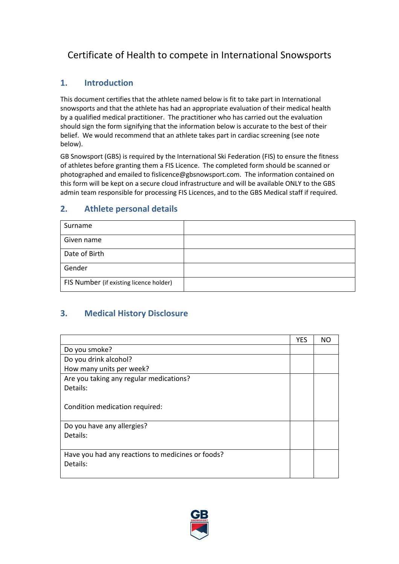# Certificate of Health to compete in International Snowsports

## **1. Introduction**

This document certifies that the athlete named below is fit to take part in International snowsports and that the athlete has had an appropriate evaluation of their medical health by a qualified medical practitioner. The practitioner who has carried out the evaluation should sign the form signifying that the information below is accurate to the best of their belief. We would recommend that an athlete takes part in cardiac screening (see note below).

GB Snowsport (GBS) is required by the International Ski Federation (FIS) to ensure the fitness of athletes before granting them a FIS Licence. The completed form should be scanned or photographed and emailed to fislicence@gbsnowsport.com. The information contained on this form will be kept on a secure cloud infrastructure and will be available ONLY to the GBS admin team responsible for processing FIS Licences, and to the GBS Medical staff if required.

#### **2. Athlete personal details**

| Surname                                 |  |
|-----------------------------------------|--|
| Given name                              |  |
| Date of Birth                           |  |
| Gender                                  |  |
| FIS Number (if existing licence holder) |  |

## **3. Medical History Disclosure**

|                                                   | <b>YES</b> | NΟ |
|---------------------------------------------------|------------|----|
| Do you smoke?                                     |            |    |
| Do you drink alcohol?                             |            |    |
| How many units per week?                          |            |    |
| Are you taking any regular medications?           |            |    |
| Details:                                          |            |    |
|                                                   |            |    |
| Condition medication required:                    |            |    |
|                                                   |            |    |
| Do you have any allergies?                        |            |    |
| Details:                                          |            |    |
|                                                   |            |    |
| Have you had any reactions to medicines or foods? |            |    |
| Details:                                          |            |    |
|                                                   |            |    |

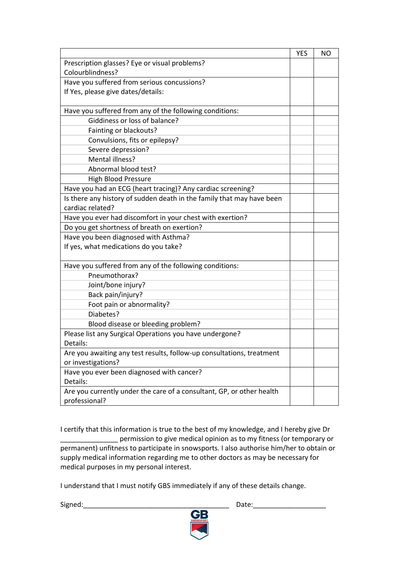|                                                                       | <b>YES</b> | <b>NO</b> |
|-----------------------------------------------------------------------|------------|-----------|
| Prescription glasses? Eye or visual problems?                         |            |           |
| Colourblindness?                                                      |            |           |
| Have you suffered from serious concussions?                           |            |           |
| If Yes, please give dates/details:                                    |            |           |
|                                                                       |            |           |
| Have you suffered from any of the following conditions:               |            |           |
| Giddiness or loss of balance?                                         |            |           |
| Fainting or blackouts?                                                |            |           |
| Convulsions, fits or epilepsy?                                        |            |           |
| Severe depression?                                                    |            |           |
| Mental illness?                                                       |            |           |
| Abnormal blood test?                                                  |            |           |
| <b>High Blood Pressure</b>                                            |            |           |
| Have you had an ECG (heart tracing)? Any cardiac screening?           |            |           |
| Is there any history of sudden death in the family that may have been |            |           |
| cardiac related?                                                      |            |           |
| Have you ever had discomfort in your chest with exertion?             |            |           |
| Do you get shortness of breath on exertion?                           |            |           |
| Have you been diagnosed with Asthma?                                  |            |           |
| If yes, what medications do you take?                                 |            |           |
|                                                                       |            |           |
| Have you suffered from any of the following conditions:               |            |           |
| Pneumothorax?                                                         |            |           |
| Joint/bone injury?                                                    |            |           |
| Back pain/injury?                                                     |            |           |
| Foot pain or abnormality?                                             |            |           |
| Diabetes?                                                             |            |           |
| Blood disease or bleeding problem?                                    |            |           |
| Please list any Surgical Operations you have undergone?               |            |           |
| Details:                                                              |            |           |
| Are you awaiting any test results, follow-up consultations, treatment |            |           |
| or investigations?                                                    |            |           |
| Have you ever been diagnosed with cancer?                             |            |           |
| Details:                                                              |            |           |
| Are you currently under the care of a consultant, GP, or other health |            |           |
| professional?                                                         |            |           |

I certify that this information is true to the best of my knowledge, and I hereby give Dr \_\_\_\_\_\_\_\_\_\_\_\_\_\_\_ permission to give medical opinion as to my fitness (or temporary or permanent) unfitness to participate in snowsports. I also authorise him/her to obtain or supply medical information regarding me to other doctors as may be necessary for medical purposes in my personal interest.

I understand that I must notify GBS immediately if any of these details change.

Signed:\_\_\_\_\_\_\_\_\_\_\_\_\_\_\_\_\_\_\_\_\_\_\_\_\_\_\_\_\_\_\_\_\_\_\_\_\_\_ Date:\_\_\_\_\_\_\_\_\_\_\_\_\_\_\_\_\_\_\_

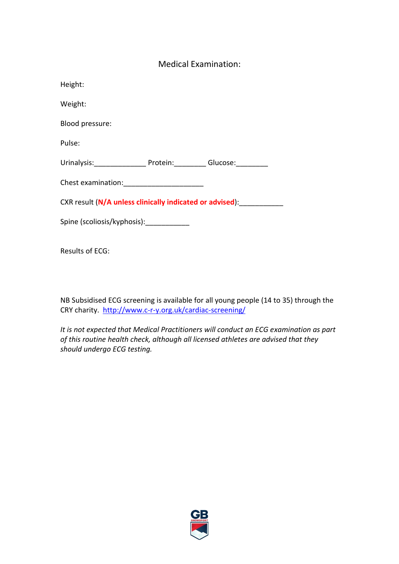#### Medical Examination:

| Height:                                                                                                        |  |  |
|----------------------------------------------------------------------------------------------------------------|--|--|
| Weight:                                                                                                        |  |  |
| Blood pressure:                                                                                                |  |  |
| Pulse:                                                                                                         |  |  |
| Urinalysis: Protein: Glucose: Charles Communist Communist Communist Communist Communist Communist Communist Co |  |  |
|                                                                                                                |  |  |
| CXR result (N/A unless clinically indicated or advised):                                                       |  |  |
| Spine (scoliosis/kyphosis): _____________                                                                      |  |  |
|                                                                                                                |  |  |

Results of ECG:

NB Subsidised ECG screening is available for all young people (14 to 35) through the CRY charity. <http://www.c-r-y.org.uk/cardiac-screening/>

*It is not expected that Medical Practitioners will conduct an ECG examination as part of this routine health check, although all licensed athletes are advised that they should undergo ECG testing.*